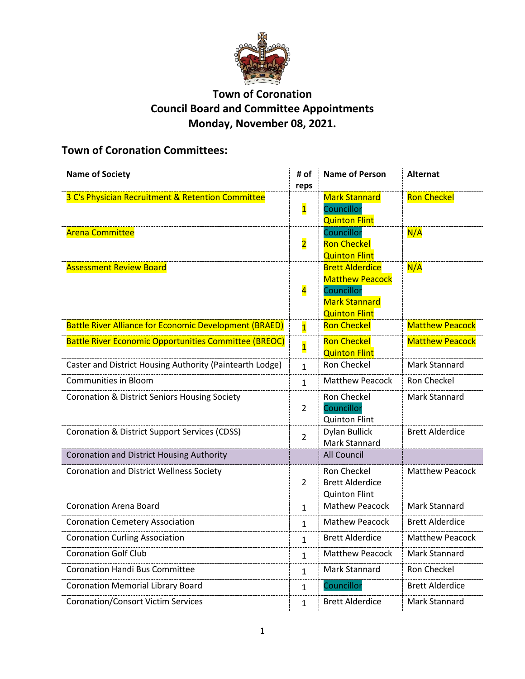

## **Town of Coronation Council Board and Committee Appointments Monday, November 08, 2021.**

# **Town of Coronation Committees:**

| <b>Name of Society</b>                                        | # of<br>reps            | <b>Name of Person</b>                                                                                          | <b>Alternat</b>        |
|---------------------------------------------------------------|-------------------------|----------------------------------------------------------------------------------------------------------------|------------------------|
| 3 C's Physician Recruitment & Retention Committee             | $\overline{\mathbf{1}}$ | <b>Mark Stannard</b><br>Councillor<br><b>Quinton Flint</b>                                                     | <b>Ron Checkel</b>     |
| <b>Arena Committee</b>                                        | $\overline{\mathbf{2}}$ | Councillor<br><b>Ron Checkel</b><br><b>Quinton Flint</b>                                                       | N/A                    |
| <b>Assessment Review Board</b>                                | $\overline{\mathbf{4}}$ | <b>Brett Alderdice</b><br><b>Matthew Peacock</b><br>Councillor<br><b>Mark Stannard</b><br><b>Quinton Flint</b> | N/A                    |
| <b>Battle River Alliance for Economic Development (BRAED)</b> | $\overline{1}$          | <b>Ron Checkel</b>                                                                                             | <b>Matthew Peacock</b> |
| <b>Battle River Economic Opportunities Committee (BREOC)</b>  | $\overline{\mathbf{1}}$ | <b>Ron Checkel</b><br><b>Quinton Flint</b>                                                                     | <b>Matthew Peacock</b> |
| Caster and District Housing Authority (Paintearth Lodge)      | $\mathbf{1}$            | Ron Checkel                                                                                                    | Mark Stannard          |
| <b>Communities in Bloom</b>                                   | $\mathbf{1}$            | <b>Matthew Peacock</b>                                                                                         | Ron Checkel            |
| <b>Coronation &amp; District Seniors Housing Society</b>      | $\overline{2}$          | Ron Checkel<br>Councillor<br><b>Quinton Flint</b>                                                              | <b>Mark Stannard</b>   |
| Coronation & District Support Services (CDSS)                 | $\overline{2}$          | <b>Dylan Bullick</b><br>Mark Stannard                                                                          | <b>Brett Alderdice</b> |
| Coronation and District Housing Authority                     |                         | <b>All Council</b>                                                                                             |                        |
| <b>Coronation and District Wellness Society</b>               | $\overline{2}$          | <b>Ron Checkel</b><br><b>Brett Alderdice</b><br><b>Quinton Flint</b>                                           | <b>Matthew Peacock</b> |
| <b>Coronation Arena Board</b>                                 | $\mathbf{1}$            | <b>Mathew Peacock</b>                                                                                          | <b>Mark Stannard</b>   |
| <b>Coronation Cemetery Association</b>                        | $\mathbf{1}$            | <b>Mathew Peacock</b>                                                                                          | <b>Brett Alderdice</b> |
| <b>Coronation Curling Association</b>                         | $\mathbf{1}$            | <b>Brett Alderdice</b>                                                                                         | <b>Matthew Peacock</b> |
| <b>Coronation Golf Club</b>                                   | $\mathbf{1}$            | <b>Matthew Peacock</b>                                                                                         | <b>Mark Stannard</b>   |
| <b>Coronation Handi Bus Committee</b>                         | $\mathbf{1}$            | Mark Stannard                                                                                                  | Ron Checkel            |
| <b>Coronation Memorial Library Board</b>                      | $\mathbf{1}$            | Councillor                                                                                                     | <b>Brett Alderdice</b> |
| <b>Coronation/Consort Victim Services</b>                     | 1                       | <b>Brett Alderdice</b>                                                                                         | <b>Mark Stannard</b>   |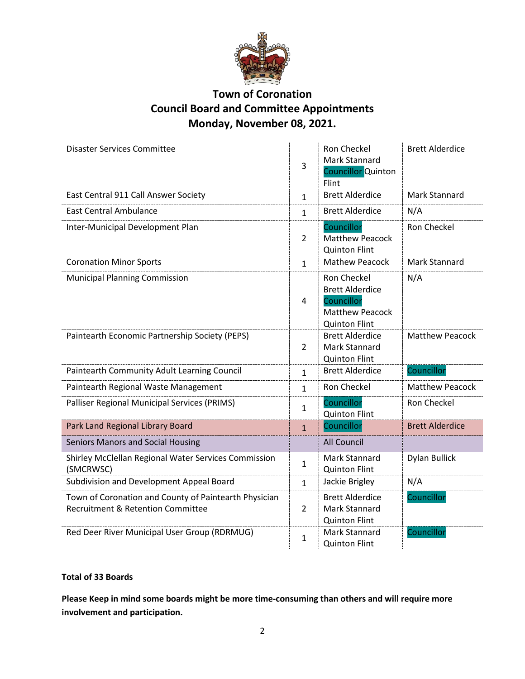

### **Town of Coronation Council Board and Committee Appointments Monday, November 08, 2021.**

| <b>Disaster Services Committee</b>                                                         | 3              | Ron Checkel<br>Mark Stannard<br><b>Councillor</b> Quinton<br>Flint                                    | <b>Brett Alderdice</b> |
|--------------------------------------------------------------------------------------------|----------------|-------------------------------------------------------------------------------------------------------|------------------------|
| East Central 911 Call Answer Society                                                       | $\mathbf{1}$   | <b>Brett Alderdice</b>                                                                                | Mark Stannard          |
| <b>East Central Ambulance</b>                                                              | $\mathbf{1}$   | <b>Brett Alderdice</b>                                                                                | N/A                    |
| Inter-Municipal Development Plan                                                           | $\overline{2}$ | Councillor<br><b>Matthew Peacock</b><br><b>Quinton Flint</b>                                          | Ron Checkel            |
| <b>Coronation Minor Sports</b>                                                             | $\mathbf{1}$   | <b>Mathew Peacock</b>                                                                                 | <b>Mark Stannard</b>   |
| <b>Municipal Planning Commission</b>                                                       | 4              | Ron Checkel<br><b>Brett Alderdice</b><br>Councillor<br><b>Matthew Peacock</b><br><b>Quinton Flint</b> | N/A                    |
| Paintearth Economic Partnership Society (PEPS)                                             | $\overline{2}$ | <b>Brett Alderdice</b><br><b>Mark Stannard</b><br><b>Quinton Flint</b>                                | <b>Matthew Peacock</b> |
| Paintearth Community Adult Learning Council                                                | $\mathbf{1}$   | <b>Brett Alderdice</b>                                                                                | Councillor             |
| Paintearth Regional Waste Management                                                       | $\mathbf{1}$   | Ron Checkel                                                                                           | <b>Matthew Peacock</b> |
| Palliser Regional Municipal Services (PRIMS)                                               | $\mathbf{1}$   | Councillor<br><b>Quinton Flint</b>                                                                    | Ron Checkel            |
| Park Land Regional Library Board                                                           | $\mathbf{1}$   | Councillor                                                                                            | <b>Brett Alderdice</b> |
| Seniors Manors and Social Housing                                                          |                | All Council                                                                                           |                        |
| Shirley McClellan Regional Water Services Commission<br>(SMCRWSC)                          | $\mathbf{1}$   | <b>Mark Stannard</b><br><b>Quinton Flint</b>                                                          | <b>Dylan Bullick</b>   |
| Subdivision and Development Appeal Board                                                   | $\mathbf{1}$   | Jackie Brigley                                                                                        | N/A                    |
| Town of Coronation and County of Paintearth Physician<br>Recruitment & Retention Committee | $\overline{2}$ | <b>Brett Alderdice</b><br>Mark Stannard<br><b>Quinton Flint</b>                                       | Councillor             |
| Red Deer River Municipal User Group (RDRMUG)                                               | 1              | Mark Stannard<br><b>Quinton Flint</b>                                                                 | Councillor             |

#### **Total of 33 Boards**

**Please Keep in mind some boards might be more time-consuming than others and will require more involvement and participation.**